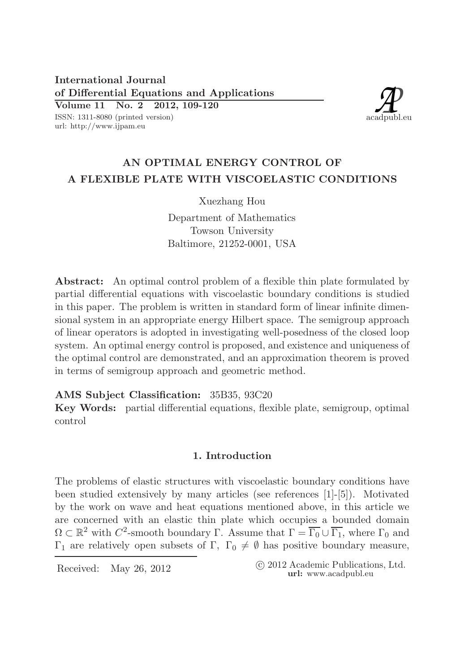International Journal of Differential Equations and Applications Volume 11 No. 2 2012, 109-120

ISSN: 1311-8080 (printed version) url: http://www.ijpam.eu



# AN OPTIMAL ENERGY CONTROL OF A FLEXIBLE PLATE WITH VISCOELASTIC CONDITIONS

Xuezhang Hou

Department of Mathematics Towson University Baltimore, 21252-0001, USA

Abstract: An optimal control problem of a flexible thin plate formulated by partial differential equations with viscoelastic boundary conditions is studied in this paper. The problem is written in standard form of linear infinite dimensional system in an appropriate energy Hilbert space. The semigroup approach of linear operators is adopted in investigating well-posedness of the closed loop system. An optimal energy control is proposed, and existence and uniqueness of the optimal control are demonstrated, and an approximation theorem is proved in terms of semigroup approach and geometric method.

AMS Subject Classification: 35B35, 93C20

Key Words: partial differential equations, flexible plate, semigroup, optimal control

## 1. Introduction

The problems of elastic structures with viscoelastic boundary conditions have been studied extensively by many articles (see references [1]-[5]). Motivated by the work on wave and heat equations mentioned above, in this article we are concerned with an elastic thin plate which occupies a bounded domain  $\Omega \subset \mathbb{R}^2$  with  $C^2$ -smooth boundary  $\Gamma$ . Assume that  $\Gamma = \overline{\Gamma_0} \cup \overline{\Gamma_1}$ , where  $\Gamma_0$  and Γ<sub>1</sub> are relatively open subsets of Γ, Γ<sub>0</sub>  $\neq$  Ø has positive boundary measure,

Received: May 26, 2012 (C 2012 Academic Publications, Ltd. url: www.acadpubl.eu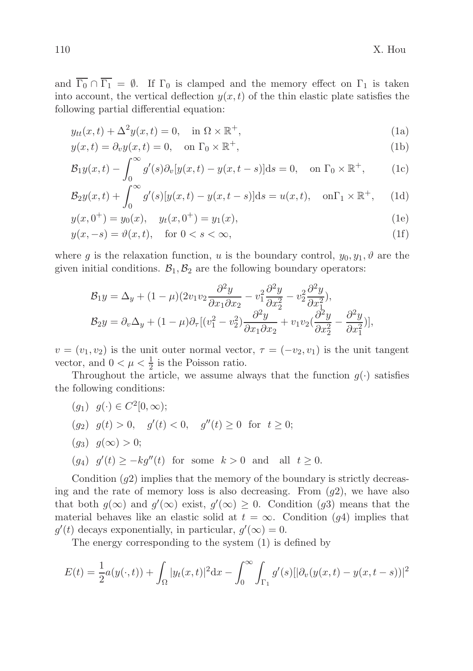and  $\overline{\Gamma_0} \cap \overline{\Gamma_1} = \emptyset$ . If  $\Gamma_0$  is clamped and the memory effect on  $\Gamma_1$  is taken into account, the vertical deflection  $y(x, t)$  of the thin elastic plate satisfies the following partial differential equation:

$$
y_{tt}(x,t) + \Delta^2 y(x,t) = 0, \quad \text{in } \Omega \times \mathbb{R}^+,
$$
 (1a)

$$
y(x,t) = \partial_v y(x,t) = 0, \quad \text{on } \Gamma_0 \times \mathbb{R}^+, \tag{1b}
$$

$$
\mathcal{B}_1 y(x,t) - \int_0^\infty g'(s) \partial_v [y(x,t) - y(x,t-s)] \mathrm{d}s = 0, \quad \text{on } \Gamma_0 \times \mathbb{R}^+, \tag{1c}
$$

$$
\mathcal{B}_2y(x,t) + \int_0^\infty g'(s)[y(x,t) - y(x,t-s)]\mathrm{d}s = u(x,t), \quad \text{on}\Gamma_1 \times \mathbb{R}^+, \tag{1d}
$$

$$
y(x, 0^+) = y_0(x), \quad y_t(x, 0^+) = y_1(x),
$$
 (1e)

$$
y(x, -s) = \vartheta(x, t), \quad \text{for } 0 < s < \infty,\tag{1f}
$$

where g is the relaxation function, u is the boundary control,  $y_0, y_1, \vartheta$  are the given initial conditions.  $\mathcal{B}_1, \mathcal{B}_2$  are the following boundary operators:

$$
\mathcal{B}_1 y = \Delta_y + (1 - \mu)(2v_1v_2 \frac{\partial^2 y}{\partial x_1 \partial x_2} - v_1^2 \frac{\partial^2 y}{\partial x_2^2} - v_2^2 \frac{\partial^2 y}{\partial x_1^2}),
$$
  
\n
$$
\mathcal{B}_2 y = \partial_v \Delta_y + (1 - \mu)\partial_\tau [(v_1^2 - v_2^2) \frac{\partial^2 y}{\partial x_1 \partial x_2} + v_1 v_2 (\frac{\partial^2 y}{\partial x_2^2} - \frac{\partial^2 y}{\partial x_1^2})],
$$

 $v = (v_1, v_2)$  is the unit outer normal vector,  $\tau = (-v_2, v_1)$  is the unit tangent vector, and  $0 < \mu < \frac{1}{2}$  is the Poisson ratio.

Throughout the article, we assume always that the function  $g(\cdot)$  satisfies the following conditions:

 $(g_1) \, g(\cdot) \in C^2[0, \infty);$  $(g_2)$   $g(t) > 0$ ,  $g'(t) < 0$ ,  $g''(t) \ge 0$  for  $t \ge 0$ ;  $(q_3) \, q(\infty) > 0;$ (g<sub>4</sub>)  $g'(t) \ge -k g''(t)$  for some  $k > 0$  and all  $t \ge 0$ .

Condition  $(q2)$  implies that the memory of the boundary is strictly decreasing and the rate of memory loss is also decreasing. From  $(q2)$ , we have also that both  $g(\infty)$  and  $g'(\infty)$  exist,  $g'(\infty) \geq 0$ . Condition (g3) means that the material behaves like an elastic solid at  $t = \infty$ . Condition (g4) implies that  $g'(t)$  decays exponentially, in particular,  $g'(\infty) = 0$ .

The energy corresponding to the system (1) is defined by

$$
E(t) = \frac{1}{2}a(y(\cdot, t)) + \int_{\Omega} |y_t(x, t)|^2 dx - \int_0^{\infty} \int_{\Gamma_1} g'(s) [|\partial_v(y(x, t) - y(x, t - s))|^2
$$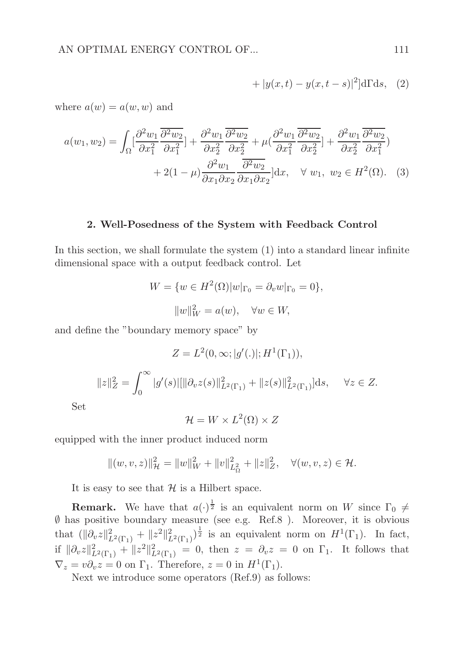$$
+ |y(x,t) - y(x,t-s)|^2]d\Gamma ds, (2)
$$

where  $a(w) = a(w, w)$  and

$$
a(w_1, w_2) = \int_{\Omega} \left[ \frac{\partial^2 w_1}{\partial x_1^2} \frac{\overline{\partial^2 w_2}}{\partial x_1^2} \right] + \frac{\partial^2 w_1}{\partial x_2^2} \frac{\overline{\partial^2 w_2}}{\partial x_2^2} + \mu \left( \frac{\partial^2 w_1}{\partial x_1^2} \frac{\overline{\partial^2 w_2}}{\partial x_2^2} \right] + \frac{\partial^2 w_1}{\partial x_2^2} \frac{\overline{\partial^2 w_2}}{\partial x_1^2}
$$
  
+ 2(1 -  $\mu \right) \frac{\partial^2 w_1}{\partial x_1 \partial x_2} \frac{\overline{\partial^2 w_2}}{\partial x_1 \partial x_2} dx, \quad \forall w_1, w_2 \in H^2(\Omega). (3)$ 

## 2. Well-Posedness of the System with Feedback Control

In this section, we shall formulate the system (1) into a standard linear infinite dimensional space with a output feedback control. Let

$$
W = \{w \in H^2(\Omega)|w|_{\Gamma_0} = \partial_v w|_{\Gamma_0} = 0\},\
$$

$$
||w||_W^2 = a(w), \quad \forall w \in W,
$$

and define the "boundary memory space" by

$$
Z = L^{2}(0, \infty; |g'(.)|; H^{1}(\Gamma_{1})),
$$
  

$$
||z||_{Z}^{2} = \int_{0}^{\infty} |g'(s)|[||\partial_{v}z(s)||_{L^{2}(\Gamma_{1})}^{2} + ||z(s)||_{L^{2}(\Gamma_{1})}^{2}]ds, \quad \forall z \in Z.
$$

Set

 $\mathcal{H}=W\times L^2(\Omega)\times Z$ 

equipped with the inner product induced norm

$$
||(w, v, z)||_{\mathcal{H}}^2 = ||w||_W^2 + ||v||_{L^2_{\Omega}}^2 + ||z||_Z^2, \quad \forall (w, v, z) \in \mathcal{H}.
$$

It is easy to see that  $H$  is a Hilbert space.

**Remark.** We have that  $a(\cdot)^{\frac{1}{2}}$  is an equivalent norm on W since  $\Gamma_0 \neq$ ∅ has positive boundary measure (see e.g. Ref.8 ). Moreover, it is obvious that  $(\|\partial_v z\|_{L^2(\Gamma_1)}^2 + \|z^2\|_{L^2(\Gamma_1)}^2)^{\frac{1}{2}}$  is an equivalent norm on  $H^1(\Gamma_1)$ . In fact, if  $\|\partial_v z\|_{L^2(\Gamma_1)}^2 + \|z^2\|_{L^2(\Gamma_1)}^2 = 0$ , then  $z = \partial_v z = 0$  on  $\Gamma_1$ . It follows that  $\nabla_z = v \partial_v z = 0$  on  $\Gamma_1$ . Therefore,  $z = 0$  in  $H^1(\Gamma_1)$ .

Next we introduce some operators (Ref.9) as follows: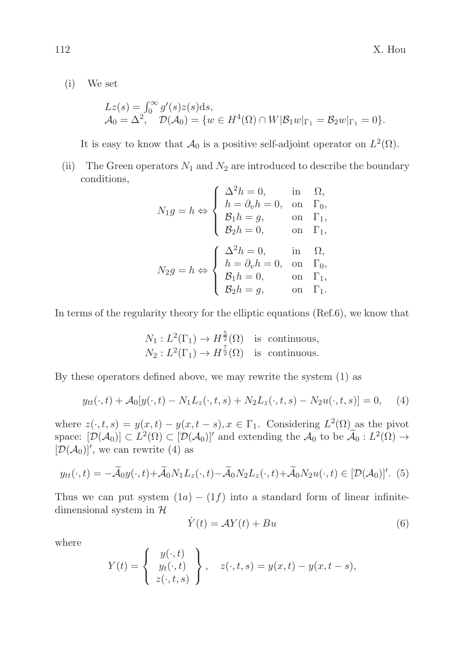(i) We set

$$
Lz(s) = \int_0^\infty g'(s)z(s)ds,\mathcal{A}_0 = \Delta^2, \quad \mathcal{D}(\mathcal{A}_0) = \{w \in H^4(\Omega) \cap W|\mathcal{B}_1w|_{\Gamma_1} = \mathcal{B}_2w|_{\Gamma_1} = 0\}.
$$

It is easy to know that  $\mathcal{A}_0$  is a positive self-adjoint operator on  $L^2(\Omega)$ .

(ii) The Green operators  $N_1$  and  $N_2$  are introduced to describe the boundary conditions,

$$
N_1g = h \Leftrightarrow \begin{cases} \Delta^2h = 0, & \text{in} \quad \Omega, \\ h = \partial_v h = 0, & \text{on} \quad \Gamma_0, \\ \mathcal{B}_1h = g, & \text{on} \quad \Gamma_1, \\ \mathcal{B}_2h = 0, & \text{on} \quad \Gamma_1, \\ h = \partial_v h = 0, & \text{in} \quad \Omega, \\ h = \partial_v h = 0, & \text{on} \quad \Gamma_0, \\ \mathcal{B}_1h = 0, & \text{on} \quad \Gamma_1, \\ \mathcal{B}_2h = g, & \text{on} \quad \Gamma_1. \end{cases}
$$

In terms of the regularity theory for the elliptic equations (Ref.6), we know that

$$
N_1: L^2(\Gamma_1) \to H^{\frac{5}{2}}(\Omega) \text{ is continuous,}
$$
  

$$
N_2: L^2(\Gamma_1) \to H^{\frac{7}{2}}(\Omega) \text{ is continuous.}
$$

By these operators defined above, we may rewrite the system (1) as

$$
y_{tt}(\cdot, t) + \mathcal{A}_0[y(\cdot, t) - N_1 L_z(\cdot, t, s) + N_2 L_z(\cdot, t, s) - N_2 u(\cdot, t, s)] = 0, \quad (4)
$$

where  $z(\cdot, t, s) = y(x, t) - y(x, t - s), x \in \Gamma_1$ . Considering  $L^2(\Omega)$  as the pivot space:  $[\mathcal{D}(\mathcal{A}_0)] \subset L^2(\Omega) \subset [\mathcal{D}(\mathcal{A}_0)]'$  and extending the  $\mathcal{A}_0$  to be  $\widetilde{\mathcal{A}}_0 : L^2(\Omega) \to$  $[\mathcal{D}(\mathcal{A}_0)]'$ , we can rewrite (4) as

$$
y_{tt}(\cdot,t) = -\widetilde{\mathcal{A}}_0 y(\cdot,t) + \widetilde{\mathcal{A}}_0 N_1 L_z(\cdot,t) - \widetilde{\mathcal{A}}_0 N_2 L_z(\cdot,t) + \widetilde{\mathcal{A}}_0 N_2 u(\cdot,t) \in [\mathcal{D}(\mathcal{A}_0)]'. \tag{5}
$$

Thus we can put system  $(1a) - (1f)$  into a standard form of linear infinitedimensional system in  $H$ 

$$
\dot{Y}(t) = \mathcal{A}Y(t) + Bu \tag{6}
$$

where

$$
Y(t) = \begin{cases} y(\cdot, t) \\ y_t(\cdot, t) \\ z(\cdot, t, s) \end{cases}, \quad z(\cdot, t, s) = y(x, t) - y(x, t - s),
$$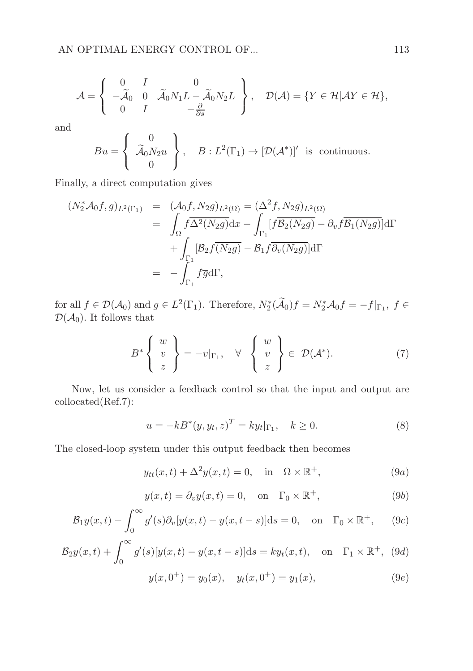$$
\mathcal{A} = \left\{ \begin{array}{ccc} 0 & I & 0 \\ -\widetilde{\mathcal{A}}_0 & 0 & \widetilde{\mathcal{A}}_0 N_1 L - \widetilde{\mathcal{A}}_0 N_2 L \\ 0 & I & -\frac{\partial}{\partial s} \end{array} \right\}, \quad \mathcal{D}(\mathcal{A}) = \{ Y \in \mathcal{H} | \mathcal{A} Y \in \mathcal{H} \},
$$

and

$$
Bu = \begin{Bmatrix} 0 \\ \widetilde{\mathcal{A}}_0 N_2 u \\ 0 \end{Bmatrix}, \quad B: L^2(\Gamma_1) \to [\mathcal{D}(\mathcal{A}^*)]'
$$
 is continuous.

Finally, a direct computation gives

$$
(N_2^* \mathcal{A}_0 f, g)_{L^2(\Gamma_1)} = (\mathcal{A}_0 f, N_2 g)_{L^2(\Omega)} = (\Delta^2 f, N_2 g)_{L^2(\Omega)}
$$
  

$$
= \int_{\Omega} f \overline{\Delta^2(N_2 g)} dx - \int_{\Gamma_1} [f \overline{\mathcal{B}_2(N_2 g)} - \partial_v f \overline{\mathcal{B}_1(N_2 g)}] d\Gamma
$$
  

$$
+ \int_{\Gamma_1} [\mathcal{B}_2 f \overline{(N_2 g)} - \mathcal{B}_1 f \overline{\partial_v(N_2 g)}] d\Gamma
$$
  

$$
= - \int_{\Gamma_1} f \overline{g} d\Gamma,
$$

for all  $f \in \mathcal{D}(\mathcal{A}_0)$  and  $g \in L^2(\Gamma_1)$ . Therefore,  $N_2^*(\tilde{\mathcal{A}}_0)f = N_2^*\mathcal{A}_0f = -f|_{\Gamma_1}$ ,  $f \in$  $\mathcal{D}(\mathcal{A}_0)$ . It follows that

$$
B^* \left\{ \begin{array}{c} w \\ v \\ z \end{array} \right\} = -v|_{\Gamma_1}, \quad \forall \quad \left\{ \begin{array}{c} w \\ v \\ z \end{array} \right\} \in \mathcal{D}(\mathcal{A}^*). \tag{7}
$$

Now, let us consider a feedback control so that the input and output are collocated(Ref.7):

$$
u = -kB^*(y, y_t, z)^T = k y_t |_{\Gamma_1}, \quad k \ge 0.
$$
 (8)

The closed-loop system under this output feedback then becomes

$$
y_{tt}(x,t) + \Delta^2 y(x,t) = 0, \quad \text{in} \quad \Omega \times \mathbb{R}^+, \tag{9a}
$$

$$
y(x,t) = \partial_v y(x,t) = 0, \quad \text{on} \quad \Gamma_0 \times \mathbb{R}^+, \tag{9b}
$$

$$
\mathcal{B}_1 y(x,t) - \int_0^\infty g'(s) \partial_v [y(x,t) - y(x,t-s)] \mathrm{d}s = 0, \quad \text{on} \quad \Gamma_0 \times \mathbb{R}^+, \tag{9c}
$$

$$
\mathcal{B}_2 y(x,t) + \int_0^\infty g'(s)[y(x,t) - y(x,t-s)]\mathrm{d}s = k y_t(x,t), \quad \text{on} \quad \Gamma_1 \times \mathbb{R}^+, \tag{9d}
$$

$$
y(x, 0^+) = y_0(x), \quad y_t(x, 0^+) = y_1(x),
$$
 (9e)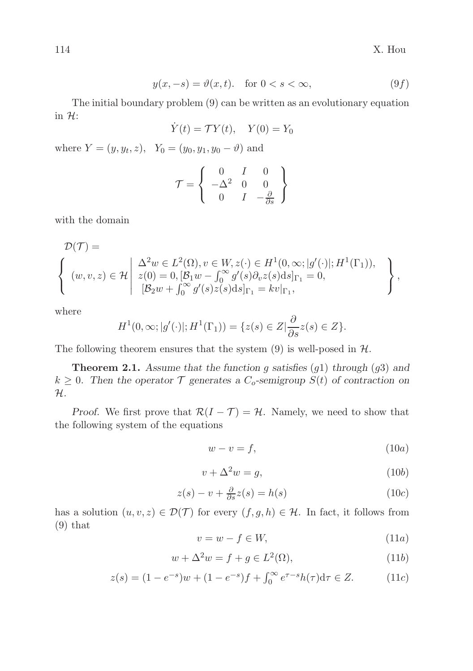$$
y(x, -s) = \vartheta(x, t). \quad \text{for } 0 < s < \infty,
$$
\n(9f)

The initial boundary problem (9) can be written as an evolutionary equation in  $H$ :

$$
\dot{Y}(t) = \mathcal{T}Y(t), \quad Y(0) = Y_0
$$

where  $Y = (y, y_t, z)$ ,  $Y_0 = (y_0, y_1, y_0 - \vartheta)$  and

$$
\mathcal{T} = \left\{ \begin{array}{ccc} 0 & I & 0 \\ -\Delta^2 & 0 & 0 \\ 0 & I & -\frac{\partial}{\partial s} \end{array} \right\}
$$

with the domain

$$
\mathcal{D}(\mathcal{T}) = \left\{ \begin{array}{l} \Delta^2 w \in L^2(\Omega), v \in W, z(\cdot) \in H^1(0, \infty; |g'(\cdot)|; H^1(\Gamma_1)), \\ (w, v, z) \in \mathcal{H} \middle| \begin{array}{l} \Delta^2 w \in L^2(\Omega), v \in W, z(\cdot) \in H^1(0, \infty; |g'(\cdot)|; H^1(\Gamma_1)), \\ z(0) = 0, [B_1 w - \int_0^\infty g'(s) \partial_v z(s) ds]_{\Gamma_1} = k v|_{\Gamma_1}, \end{array} \right\},
$$

where

$$
H1(0, \infty; |g'(\cdot)|; H1(\Gamma1)) = \{z(s) \in Z | \frac{\partial}{\partial s} z(s) \in Z\}.
$$

The following theorem ensures that the system  $(9)$  is well-posed in  $H$ .

**Theorem 2.1.** Assume that the function g satisfies  $(g1)$  through  $(g3)$  and  $k \geq 0$ . Then the operator  $\mathcal T$  generates a  $C_o$ -semigroup  $S(t)$  of contraction on  $\mathcal{H}.$ 

*Proof.* We first prove that  $\mathcal{R}(I - \mathcal{T}) = \mathcal{H}$ . Namely, we need to show that the following system of the equations

$$
w - v = f,\t\t(10a)
$$

$$
v + \Delta^2 w = g,\tag{10b}
$$

$$
z(s) - v + \frac{\partial}{\partial s}z(s) = h(s)
$$
 (10*c*)

has a solution  $(u, v, z) \in \mathcal{D}(\mathcal{T})$  for every  $(f, g, h) \in \mathcal{H}$ . In fact, it follows from (9) that

$$
v = w - f \in W,\tag{11a}
$$

$$
w + \Delta^2 w = f + g \in L^2(\Omega),\tag{11b}
$$

$$
z(s) = (1 - e^{-s})w + (1 - e^{-s})f + \int_0^\infty e^{\tau - s} h(\tau) d\tau \in Z.
$$
 (11*c*)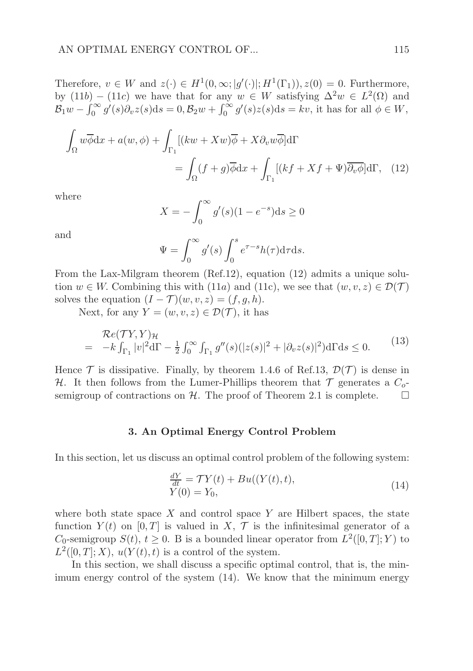Therefore,  $v \in W$  and  $z(\cdot) \in H^1(0,\infty; |g'(\cdot)|; H^1(\Gamma_1)), z(0) = 0$ . Furthermore, by  $(11b) - (11c)$  we have that for any  $w \in W$  satisfying  $\Delta^2 w \in L^2(\Omega)$  and  $\mathcal{B}_1 w - \int_0^\infty g'(s)\partial_v z(s)ds = 0, \mathcal{B}_2 w + \int_0^\infty g'(s)z(s)ds = kv$ , it has for all  $\phi \in W$ ,

$$
\int_{\Omega} w \overline{\phi} dx + a(w, \phi) + \int_{\Gamma_1} [(kw + Xw)\overline{\phi} + X\partial_v w \overline{\phi}] d\Gamma
$$
  
= 
$$
\int_{\Omega} (f + g) \overline{\phi} dx + \int_{\Gamma_1} [(kf + Xf + \Psi) \overline{\partial_v \phi}] d\Gamma, (12)
$$

where

$$
X = -\int_0^\infty g'(s)(1 - e^{-s})ds \ge 0
$$

and

$$
\Psi = \int_0^\infty g'(s) \int_0^s e^{\tau - s} h(\tau) d\tau ds.
$$

From the Lax-Milgram theorem (Ref.12), equation (12) admits a unique solution  $w \in W$ . Combining this with (11a) and (11c), we see that  $(w, v, z) \in \mathcal{D}(\mathcal{T})$ solves the equation  $(I - \mathcal{T})(w, v, z) = (f, g, h)$ .

Next, for any  $Y = (w, v, z) \in \mathcal{D}(\mathcal{T})$ , it has

$$
\mathcal{R}e(TY,Y)_{\mathcal{H}} = -k \int_{\Gamma_1} |v|^2 d\Gamma - \frac{1}{2} \int_0^\infty \int_{\Gamma_1} g''(s)(|z(s)|^2 + |\partial_v z(s)|^2) d\Gamma ds \le 0.
$$
 (13)

Hence  $\mathcal T$  is dissipative. Finally, by theorem 1.4.6 of Ref.13,  $\mathcal D(\mathcal T)$  is dense in H. It then follows from the Lumer-Phillips theorem that  $\mathcal T$  generates a  $C_0$ semigroup of contractions on H. The proof of Theorem 2.1 is complete.  $\Box$ 

### 3. An Optimal Energy Control Problem

In this section, let us discuss an optimal control problem of the following system:

$$
\frac{dY}{dt} = \mathcal{T}Y(t) + Bu((Y(t), t),Y(0) = Y_0,
$$
\n(14)

where both state space X and control space Y are Hilbert spaces, the state function  $Y(t)$  on [0, T] is valued in X, T is the infinitesimal generator of a  $C_0$ -semigroup  $S(t)$ ,  $t \geq 0$ . B is a bounded linear operator from  $L^2([0,T];Y)$  to  $L^2([0,T];X), u(Y(t),t)$  is a control of the system.

In this section, we shall discuss a specific optimal control, that is, the minimum energy control of the system (14). We know that the minimum energy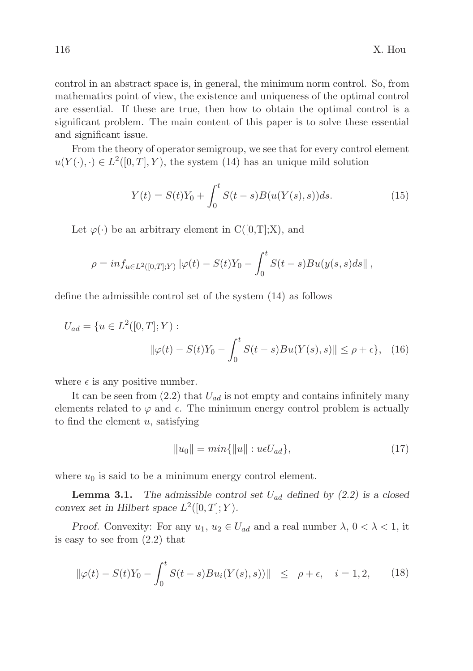control in an abstract space is, in general, the minimum norm control. So, from mathematics point of view, the existence and uniqueness of the optimal control are essential. If these are true, then how to obtain the optimal control is a significant problem. The main content of this paper is to solve these essential and significant issue.

From the theory of operator semigroup, we see that for every control element  $u(Y(\cdot), \cdot) \in L^2([0,T], Y)$ , the system (14) has an unique mild solution

$$
Y(t) = S(t)Y_0 + \int_0^t S(t - s)B(u(Y(s), s))ds.
$$
 (15)

Let  $\varphi(\cdot)$  be an arbitrary element in C([0,T];X), and

$$
\rho = \inf_{u \in L^2([0,T];Y)} \|\varphi(t) - S(t)Y_0 - \int_0^t S(t-s)Bu(y(s,s)ds)\|,
$$

define the admissible control set of the system (14) as follows

$$
U_{ad} = \{ u \in L^2([0, T]; Y) : \|\varphi(t) - S(t)Y_0 - \int_0^t S(t - s)Bu(Y(s), s)\| \le \rho + \epsilon \}, \quad (16)
$$

where  $\epsilon$  is any positive number.

It can be seen from  $(2.2)$  that  $U_{ad}$  is not empty and contains infinitely many elements related to  $\varphi$  and  $\epsilon$ . The minimum energy control problem is actually to find the element  $u$ , satisfying

$$
||u_0|| = min{||u|| : u\epsilon U_{ad}}, \t(17)
$$

where  $u_0$  is said to be a minimum energy control element.

**Lemma 3.1.** The admissible control set  $U_{ad}$  defined by (2.2) is a closed convex set in Hilbert space  $L^2([0,T];Y)$ .

Proof. Convexity: For any  $u_1, u_2 \in U_{ad}$  and a real number  $\lambda, 0 < \lambda < 1$ , it is easy to see from (2.2) that

$$
\|\varphi(t) - S(t)Y_0 - \int_0^t S(t-s)Bu_i(Y(s),s))\| \le \rho + \epsilon, \quad i = 1, 2, \qquad (18)
$$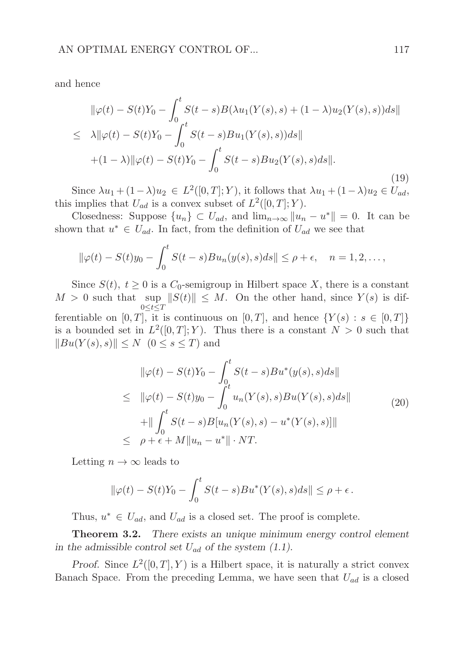and hence

$$
\|\varphi(t) - S(t)Y_0 - \int_0^t S(t-s)B(\lambda u_1(Y(s), s) + (1 - \lambda)u_2(Y(s), s))ds\|
$$
  
\n
$$
\leq \lambda \|\varphi(t) - S(t)Y_0 - \int_0^t S(t-s)Bu_1(Y(s), s))ds\|
$$
  
\n
$$
+ (1 - \lambda) \|\varphi(t) - S(t)Y_0 - \int_0^t S(t-s)Bu_2(Y(s), s)ds\|.
$$
\n(19)

Since  $\lambda u_1 + (1 - \lambda)u_2 \in L^2([0, T]; Y)$ , it follows that  $\lambda u_1 + (1 - \lambda)u_2 \in U_{ad}$ , this implies that  $U_{ad}$  is a convex subset of  $L^2([0,T];Y)$ .

Closedness: Suppose  $\{u_n\} \subset U_{ad}$ , and  $\lim_{n\to\infty} ||u_n - u^*|| = 0$ . It can be shown that  $u^* \in U_{ad}$ . In fact, from the definition of  $U_{ad}$  we see that

$$
\|\varphi(t)-S(t)y_0-\int_0^t S(t-s)Bu_n(y(s),s)ds\|\leq \rho+\epsilon,\quad n=1,2,\ldots,
$$

Since  $S(t)$ ,  $t \geq 0$  is a  $C_0$ -semigroup in Hilbert space X, there is a constant  $M > 0$  such that sup  $||S(t)|| \leq M$ . On the other hand, since  $Y(s)$  is dif- $0 \leq t \leq T$ ferentiable on [0, T], it is continuous on [0, T], and hence  $\{Y(s): s \in [0, T]\}$ is a bounded set in  $L^2([0,T];Y)$ . Thus there is a constant  $N > 0$  such that  $||Bu(Y(s), s)|| \leq N$  ( $0 \leq s \leq T$ ) and

$$
\|\varphi(t) - S(t)Y_0 - \int_0^t S(t-s)Bu^*(y(s), s)ds\|
$$
  
\n
$$
\leq \|\varphi(t) - S(t)y_0 - \int_0^t u_n(Y(s), s)Bu(Y(s), s)ds\|
$$
  
\n
$$
+ \|\int_0^t S(t-s)B[u_n(Y(s), s) - u^*(Y(s), s)]\|
$$
  
\n
$$
\leq \rho + \epsilon + M\|u_n - u^*\| \cdot NT.
$$
\n(20)

Letting  $n \to \infty$  leads to

$$
\|\varphi(t) - S(t)Y_0 - \int_0^t S(t-s)Bu^*(Y(s),s)ds\| \le \rho + \epsilon.
$$

Thus,  $u^* \in U_{ad}$ , and  $U_{ad}$  is a closed set. The proof is complete.

**Theorem 3.2.** There exists an unique minimum energy control element in the admissible control set  $U_{ad}$  of the system (1.1).

Proof. Since  $L^2([0,T], Y)$  is a Hilbert space, it is naturally a strict convex Banach Space. From the preceding Lemma, we have seen that  $U_{ad}$  is a closed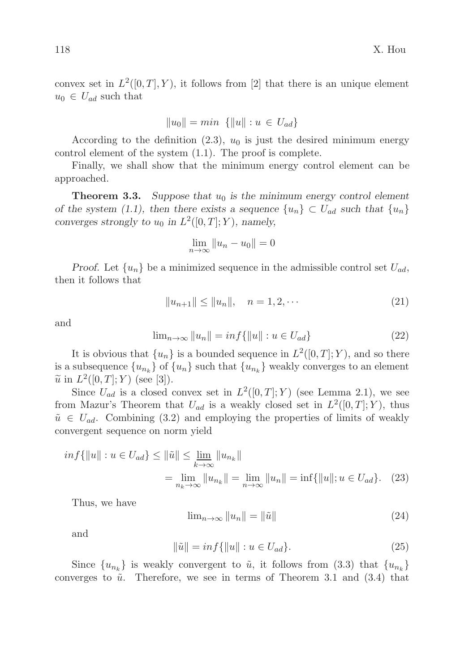convex set in  $L^2([0,T], Y)$ , it follows from [2] that there is an unique element  $u_0 \in U_{ad}$  such that

$$
||u_0|| = min \{||u|| : u \in U_{ad}\}\
$$

According to the definition (2.3),  $u_0$  is just the desired minimum energy control element of the system (1.1). The proof is complete.

Finally, we shall show that the minimum energy control element can be approached.

**Theorem 3.3.** Suppose that  $u_0$  is the minimum energy control element of the system (1.1), then there exists a sequence  $\{u_n\} \subset U_{ad}$  such that  $\{u_n\}$ converges strongly to  $u_0$  in  $L^2([0,T]; Y)$ , namely,

$$
\lim_{n \to \infty} \|u_n - u_0\| = 0
$$

Proof. Let  $\{u_n\}$  be a minimized sequence in the admissible control set  $U_{ad}$ , then it follows that

$$
||u_{n+1}|| \le ||u_n||, \quad n = 1, 2, \cdots
$$
\n(21)

and

$$
\lim_{n \to \infty} ||u_n|| = \inf \{ ||u|| : u \in U_{ad} \}
$$
\n
$$
(22)
$$

It is obvious that  $\{u_n\}$  is a bounded sequence in  $L^2([0,T];Y)$ , and so there is a subsequence  $\{u_{n_k}\}$  of  $\{u_n\}$  such that  $\{u_{n_k}\}$  weakly converges to an element  $\widetilde{u}$  in  $L^2([0,T];Y)$  (see [3]).

Since  $U_{ad}$  is a closed convex set in  $L^2([0,T];Y)$  (see Lemma 2.1), we see from Mazur's Theorem that  $U_{ad}$  is a weakly closed set in  $L^2([0,T]; Y)$ , thus  $\tilde{u} \in U_{ad}$ . Combining (3.2) and employing the properties of limits of weakly convergent sequence on norm yield

$$
inf\{\|u\|: u \in U_{ad}\} \le \|\tilde{u}\| \le \lim_{k \to \infty} \|u_{n_k}\|
$$
  
= 
$$
\lim_{n_k \to \infty} \|u_{n_k}\| = \lim_{n \to \infty} \|u_n\| = \inf\{\|u\|: u \in U_{ad}\}. \tag{23}
$$

Thus, we have

$$
\lim_{n \to \infty} ||u_n|| = ||\tilde{u}|| \tag{24}
$$

and

$$
\|\tilde{u}\| = \inf\{\|u\| : u \in U_{ad}\}.
$$
\n(25)

Since  ${u_{n_k}}$  is weakly convergent to  $\tilde{u}$ , it follows from (3.3) that  ${u_{n_k}}$ converges to  $\tilde{u}$ . Therefore, we see in terms of Theorem 3.1 and (3.4) that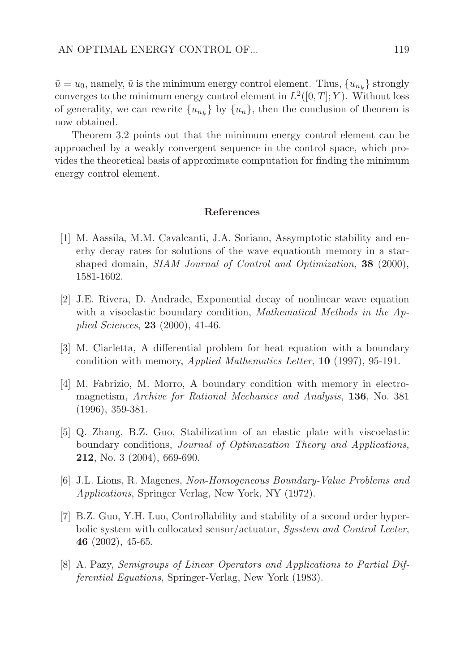$\tilde{u} = u_0$ , namely,  $\tilde{u}$  is the minimum energy control element. Thus,  $\{u_{n_k}\}$  strongly converges to the minimum energy control element in  $L^2([0,T];Y)$ . Without loss of generality, we can rewrite  $\{u_{n_k}\}\;$  by  $\{u_n\}$ , then the conclusion of theorem is now obtained.

Theorem 3.2 points out that the minimum energy control element can be approached by a weakly convergent sequence in the control space, which provides the theoretical basis of approximate computation for finding the minimum energy control element.

#### References

- [1] M. Aassila, M.M. Cavalcanti, J.A. Soriano, Assymptotic stability and enerhy decay rates for solutions of the wave equationth memory in a starshaped domain, SIAM Journal of Control and Optimization, 38 (2000), 1581-1602.
- [2] J.E. Rivera, D. Andrade, Exponential decay of nonlinear wave equation with a visoelastic boundary condition, *Mathematical Methods in the Ap*plied Sciences, 23 (2000), 41-46.
- [3] M. Ciarletta, A differential problem for heat equation with a boundary condition with memory, Applied Mathematics Letter, 10 (1997), 95-191.
- [4] M. Fabrizio, M. Morro, A boundary condition with memory in electromagnetism, Archive for Rational Mechanics and Analysis, 136, No. 381 (1996), 359-381.
- [5] Q. Zhang, B.Z. Guo, Stabilization of an elastic plate with viscoelastic boundary conditions, Journal of Optimazation Theory and Applications, 212, No. 3 (2004), 669-690.
- [6] J.L. Lions, R. Magenes, Non-Homogeneous Boundary-Value Problems and Applications, Springer Verlag, New York, NY (1972).
- [7] B.Z. Guo, Y.H. Luo, Controllability and stability of a second order hyperbolic system with collocated sensor/actuator, *System and Control Leeter*, 46 (2002), 45-65.
- [8] A. Pazy, Semigroups of Linear Operators and Applications to Partial Differential Equations, Springer-Verlag, New York (1983).